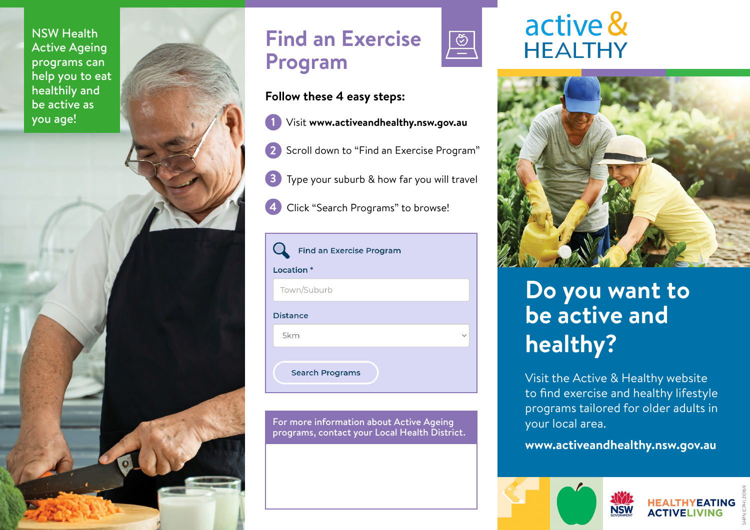NSW Health Active Ageing programs can help you to eat healthily and be active as you age! **1**



#### **Follow these 4 easy steps:**

Visit **www.activeandhealthy.nsw.gov.au**

 $\frac{1}{\sqrt{2}}$ 

- **2** Scroll down to "Find an Exercise Program"
- **3** Type your suburb & how far you will travel
- **4** Click "Search Programs" to browse!

| <b>Find an Exercise Program</b> |
|---------------------------------|
| Location *                      |
| Town/Suburb                     |
| <b>Distance</b>                 |
| 5km                             |
| <b>Search Programs</b>          |

For more information about Active Ageing programs, contact your Local Health District.

## active & **HEALTHY**



# **Do you want to be active and healthy?**

Visit the Active & Healthy website to find exercise and healthy lifestyle programs tailored for older adults in your local area.

**www.activeandhealthy.nsw.gov.au**